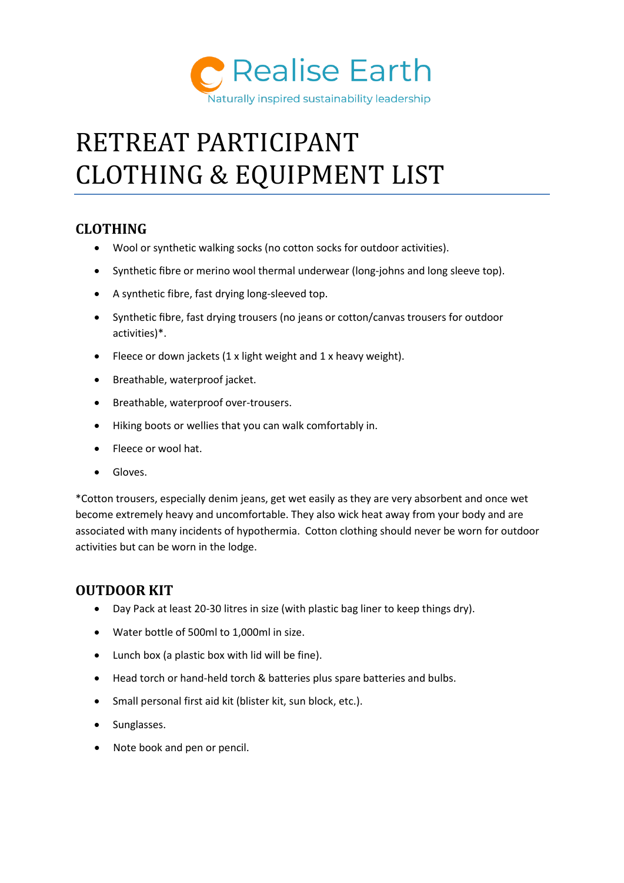

# RETREAT PARTICIPANT CLOTHING & EQUIPMENT LIST

## **CLOTHING**

- Wool or synthetic walking socks (no cotton socks for outdoor activities).
- Synthetic fibre or merino wool thermal underwear (long-johns and long sleeve top).
- A synthetic fibre, fast drying long-sleeved top.
- Synthetic fibre, fast drying trousers (no jeans or cotton/canvas trousers for outdoor activities)\*.
- Fleece or down jackets (1 x light weight and 1 x heavy weight).
- Breathable, waterproof jacket.
- Breathable, waterproof over-trousers.
- Hiking boots or wellies that you can walk comfortably in.
- Fleece or wool hat.
- Gloves.

\*Cotton trousers, especially denim jeans, get wet easily as they are very absorbent and once wet become extremely heavy and uncomfortable. They also wick heat away from your body and are associated with many incidents of hypothermia. Cotton clothing should never be worn for outdoor activities but can be worn in the lodge.

## **OUTDOOR KIT**

- Day Pack at least 20-30 litres in size (with plastic bag liner to keep things dry).
- Water bottle of 500ml to 1,000ml in size.
- Lunch box (a plastic box with lid will be fine).
- Head torch or hand-held torch & batteries plus spare batteries and bulbs.
- Small personal first aid kit (blister kit, sun block, etc.).
- Sunglasses.
- Note book and pen or pencil.